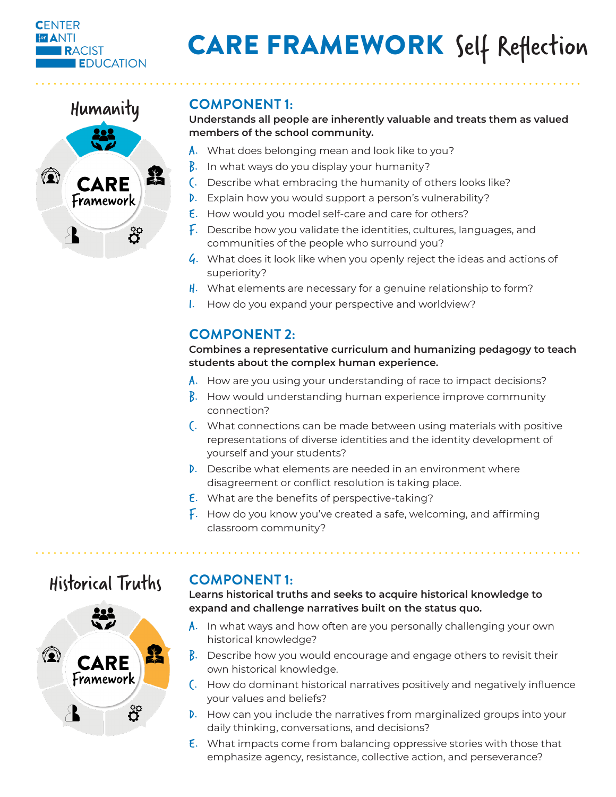#### **CENTER For ANTI RACIST EDUCATION**

# CARE FRAMEWORK Self Reflection



**Understands all people are inherently valuable and treats them as valued members of the school community.** 

- A. What does belonging mean and look like to you?
- B. In what ways do you display your humanity?
- C. Describe what embracing the humanity of others looks like?
- D. Explain how you would support a person's vulnerability?
- E. How would you model self-care and care for others?
- F. Describe how you validate the identities, cultures, languages, and communities of the people who surround you?
- $\mathcal{G}$ . What does it look like when you openly reject the ideas and actions of superiority?
- $H<sub>1</sub>$ . What elements are necessary for a genuine relationship to form?
- I. How do you expand your perspective and worldview?

# **COMPONENT 2:**

#### **Combines a representative curriculum and humanizing pedagogy to teach students about the complex human experience.**

- A. How are you using your understanding of race to impact decisions?
- **B.** How would understanding human experience improve community connection?
- C. What connections can be made between using materials with positive representations of diverse identities and the identity development of yourself and your students?
- D. Describe what elements are needed in an environment where disagreement or conflict resolution is taking place.
- E. What are the benefits of perspective-taking?
- $\overline{f}$ . How do you know you've created a safe, welcoming, and affirming classroom community?

# Historical Truths



# **COMPONENT 1:**

**Learns historical truths and seeks to acquire historical knowledge to expand and challenge narratives built on the status quo.** 

- $\mathsf{A}$ . In what ways and how often are you personally challenging your own historical knowledge?
- **B.** Describe how you would encourage and engage others to revisit their own historical knowledge.
- C. How do dominant historical narratives positively and negatively influence your values and beliefs?
- D. How can you include the narratives from marginalized groups into your daily thinking, conversations, and decisions?
- E. What impacts come from balancing oppressive stories with those that emphasize agency, resistance, collective action, and perseverance?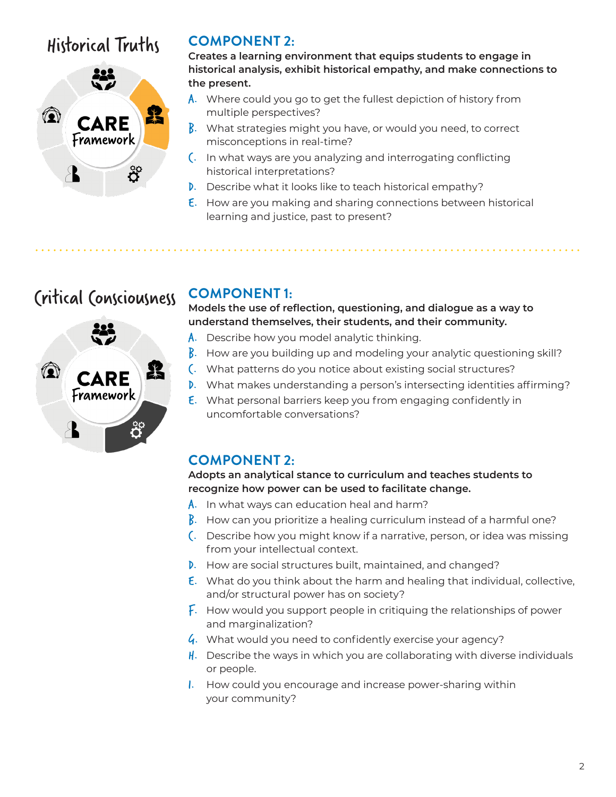# Historical Truths



# **COMPONENT 2:**

**Creates a learning environment that equips students to engage in historical analysis, exhibit historical empathy, and make connections to the present.** 

- A. Where could you go to get the fullest depiction of history from multiple perspectives?
- $\beta$ . What strategies might you have, or would you need, to correct misconceptions in real-time?
- C. In what ways are you analyzing and interrogating conflicting historical interpretations?
- D. Describe what it looks like to teach historical empathy?
- E. How are you making and sharing connections between historical learning and justice, past to present?

# Critical Consciousness



# **COMPONENT 1:**

**Models the use of reflection, questioning, and dialogue as a way to understand themselves, their students, and their community.** 

- A. Describe how you model analytic thinking.
- $\beta$ . How are you building up and modeling your analytic questioning skill?
- C. What patterns do you notice about existing social structures?
- D. What makes understanding a person's intersecting identities affirming?
- E. What personal barriers keep you from engaging confidently in uncomfortable conversations?

# **COMPONENT 2:**

**Adopts an analytical stance to curriculum and teaches students to recognize how power can be used to facilitate change.**

- A. In what ways can education heal and harm?
- $\beta$ . How can you prioritize a healing curriculum instead of a harmful one?
- C. Describe how you might know if a narrative, person, or idea was missing from your intellectual context.
- D. How are social structures built, maintained, and changed?
- E. What do you think about the harm and healing that individual, collective, and/or structural power has on society?
- F. How would you support people in critiquing the relationships of power and marginalization?
- $\mathcal{G}$ . What would you need to confidently exercise your agency?
- $\parallel$ . Describe the ways in which you are collaborating with diverse individuals or people.
- I. How could you encourage and increase power-sharing within your community?